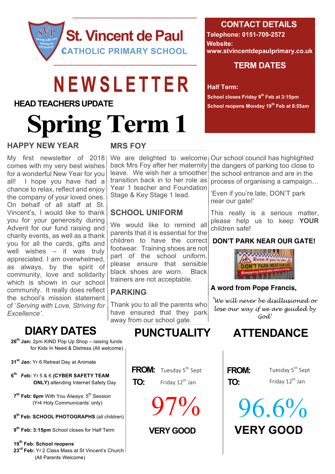

# NEWSLETTER

#### **HEAD TEACHERS UPDATE**

# **Spring Term 1**

#### **HAPPY NEW YEAR**

My first newsletter of 2018 comes with my very best wishes for a wonderful New Year for you all! I hope you have had a chance to relax, reflect and enjoy the company of your loved ones. On behalf of all staff at St. Vincent's, I would like to thank you for your generosity during Advent for our fund raising and charity events, as well as a thank you for all the cards, gifts and well wishes – it was truly appreciated. I am overwhelmed, as always, by the spirit of community, love and solidarity which is shown in our school community. It really does reflect the school's mission statement of '*Serving with Love, Striving for Excellence'*.

#### **MRS FOY**

back Mrs Foy after her maternity leave. We wish her a smoother transition back in to her role as Year 1 teacher and Foundation Stage & Key Stage 1 lead.

### **SCHOOL UNIFORM**

We would like to remind all parents that it is essential for the children to have the correct footwear. Training shoes are not part of the school uniform, please ensure that sensible black shoes are worn. Black trainers are not acceptable.

### **PARKING**

Thank you to all the parents who have ensured that they park away from our school gate.

### **DIARY DATES PUNCTUALITY ATTENDANCE**

- **26th Jan:** 2pm KIND Pop Up Shop raising funds for Kids In Need & Distress (All welcome)
- **31st Jan:** Yr 6 Retreat Day at Animate
- **6th Feb:** Yr 5 & 6 **(CYBER SAFETY TEAM ONLY)** attending Internet Safety Day
- **7<sup>th</sup> Feb: 6pm** With You Always: 5<sup>th</sup> Session (Yr4 Holy Communicants' only)
- **8th Feb: SCHOOL PHOTOGRAPHS** (all children)
- **9th Feb: 3:15pm** School closes for Half Term
- **19th Feb: School reopens**
- **23rd Feb:** Yr 2 Class Mass at St Vincent's Church (All Parents Welcome)

#### **CONTACT DETAILS**

**Telephone: 0151-709-2572 Website: www.stvincentdepaulprimary.co.uk**

#### **TERM DATES**

#### **Half Term:**

**School closes Friday 9th Feb at 3:15pm School reopens Monday 19th Feb at 8:55am**

We are delighted to welcome | Our school council has highlighted the dangers of parking too close to the school entrance and are in the process of organising a campaign…

> 'Even if you're late, DON'T park near our gate!'

This really is a serious matter, please help us to keep **YOUR** children safe!

#### **DON'T PARK NEAR OUR GATE!**



#### **A word from Pope Francis,**

*'We will never be disillusioned or lose our way if we are guided by God'*

| FROM: |  |
|-------|--|
| TO:   |  |

Tuesday 5<sup>th</sup> Sept Friday 12<sup>th</sup> Jan

**VERY GOOD
SERY GOOD**  $96.6%$ 

**FROM:** Tuesday 5<sup>th</sup> Sept **FROM:** 

**TO:** Friday  $12^{\text{th}}$  Jan **TO:** 

97%